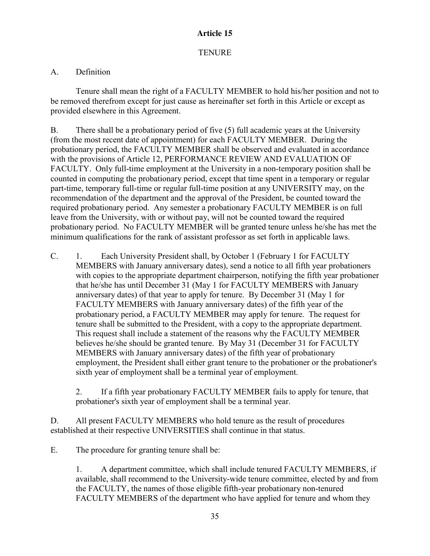## **Article 15**

## **TENURE**

## A. Definition

Tenure shall mean the right of a FACULTY MEMBER to hold his/her position and not to be removed therefrom except for just cause as hereinafter set forth in this Article or except as provided elsewhere in this Agreement.

B. There shall be a probationary period of five (5) full academic years at the University (from the most recent date of appointment) for each FACULTY MEMBER. During the probationary period, the FACULTY MEMBER shall be observed and evaluated in accordance with the provisions of Article 12, PERFORMANCE REVIEW AND EVALUATION OF FACULTY. Only full-time employment at the University in a non-temporary position shall be counted in computing the probationary period, except that time spent in a temporary or regular part-time, temporary full-time or regular full-time position at any UNIVERSITY may, on the recommendation of the department and the approval of the President, be counted toward the required probationary period. Any semester a probationary FACULTY MEMBER is on full leave from the University, with or without pay, will not be counted toward the required probationary period. No FACULTY MEMBER will be granted tenure unless he/she has met the minimum qualifications for the rank of assistant professor as set forth in applicable laws.

C. 1. Each University President shall, by October 1 (February 1 for FACULTY MEMBERS with January anniversary dates), send a notice to all fifth year probationers with copies to the appropriate department chairperson, notifying the fifth year probationer that he/she has until December 31 (May 1 for FACULTY MEMBERS with January anniversary dates) of that year to apply for tenure. By December 31 (May 1 for FACULTY MEMBERS with January anniversary dates) of the fifth year of the probationary period, a FACULTY MEMBER may apply for tenure. The request for tenure shall be submitted to the President, with a copy to the appropriate department. This request shall include a statement of the reasons why the FACULTY MEMBER believes he/she should be granted tenure. By May 31 (December 31 for FACULTY MEMBERS with January anniversary dates) of the fifth year of probationary employment, the President shall either grant tenure to the probationer or the probationer's sixth year of employment shall be a terminal year of employment.

2. If a fifth year probationary FACULTY MEMBER fails to apply for tenure, that probationer's sixth year of employment shall be a terminal year.

D. All present FACULTY MEMBERS who hold tenure as the result of procedures established at their respective UNIVERSITIES shall continue in that status.

E. The procedure for granting tenure shall be:

1. A department committee, which shall include tenured FACULTY MEMBERS, if available, shall recommend to the University-wide tenure committee, elected by and from the FACULTY, the names of those eligible fifth-year probationary non-tenured FACULTY MEMBERS of the department who have applied for tenure and whom they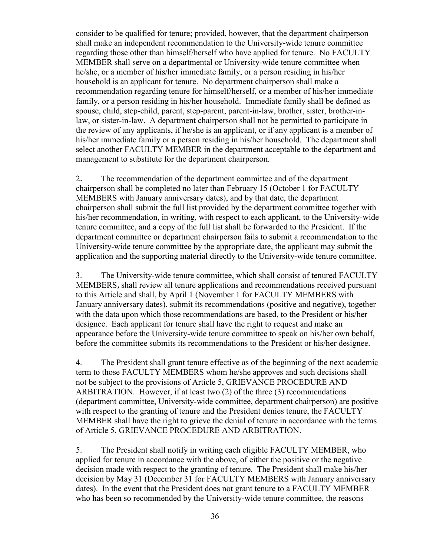consider to be qualified for tenure; provided, however, that the department chairperson shall make an independent recommendation to the University-wide tenure committee regarding those other than himself/herself who have applied for tenure. No FACULTY MEMBER shall serve on a departmental or University-wide tenure committee when he/she, or a member of his/her immediate family, or a person residing in his/her household is an applicant for tenure. No department chairperson shall make a recommendation regarding tenure for himself/herself, or a member of his/her immediate family, or a person residing in his/her household. Immediate family shall be defined as spouse, child, step-child, parent, step-parent, parent-in-law, brother, sister, brother-inlaw, or sister-in-law. A department chairperson shall not be permitted to participate in the review of any applicants, if he/she is an applicant, or if any applicant is a member of his/her immediate family or a person residing in his/her household. The department shall select another FACULTY MEMBER in the department acceptable to the department and management to substitute for the department chairperson.

2*.* The recommendation of the department committee and of the department chairperson shall be completed no later than February 15 (October 1 for FACULTY MEMBERS with January anniversary dates), and by that date, the department chairperson shall submit the full list provided by the department committee together with his/her recommendation, in writing, with respect to each applicant, to the University-wide tenure committee, and a copy of the full list shall be forwarded to the President. If the department committee or department chairperson fails to submit a recommendation to the University-wide tenure committee by the appropriate date, the applicant may submit the application and the supporting material directly to the University-wide tenure committee.

3. The University-wide tenure committee, which shall consist of tenured FACULTY MEMBERS*,* shall review all tenure applications and recommendations received pursuant to this Article and shall, by April 1 (November 1 for FACULTY MEMBERS with January anniversary dates), submit its recommendations (positive and negative), together with the data upon which those recommendations are based, to the President or his/her designee. Each applicant for tenure shall have the right to request and make an appearance before the University-wide tenure committee to speak on his/her own behalf, before the committee submits its recommendations to the President or his/her designee.

4. The President shall grant tenure effective as of the beginning of the next academic term to those FACULTY MEMBERS whom he/she approves and such decisions shall not be subject to the provisions of Article 5, GRIEVANCE PROCEDURE AND ARBITRATION. However, if at least two (2) of the three (3) recommendations (department committee, University-wide committee, department chairperson) are positive with respect to the granting of tenure and the President denies tenure, the FACULTY MEMBER shall have the right to grieve the denial of tenure in accordance with the terms of Article 5, GRIEVANCE PROCEDURE AND ARBITRATION.

5. The President shall notify in writing each eligible FACULTY MEMBER, who applied for tenure in accordance with the above, of either the positive or the negative decision made with respect to the granting of tenure. The President shall make his/her decision by May 31 (December 31 for FACULTY MEMBERS with January anniversary dates). In the event that the President does not grant tenure to a FACULTY MEMBER who has been so recommended by the University-wide tenure committee, the reasons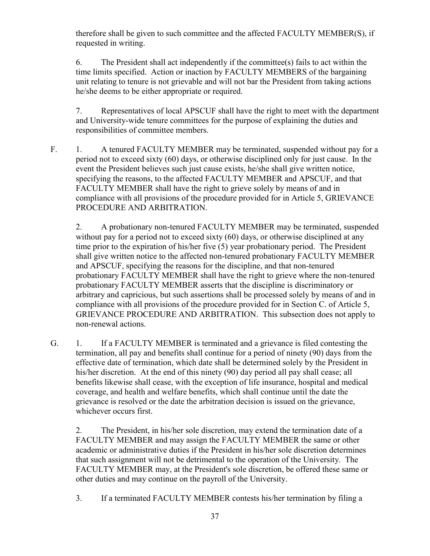therefore shall be given to such committee and the affected FACULTY MEMBER(S), if requested in writing.

6. The President shall act independently if the committee(s) fails to act within the time limits specified. Action or inaction by FACULTY MEMBERS of the bargaining unit relating to tenure is not grievable and will not bar the President from taking actions he/she deems to be either appropriate or required.

7. Representatives of local APSCUF shall have the right to meet with the department and University-wide tenure committees for the purpose of explaining the duties and responsibilities of committee members.

F. 1. A tenured FACULTY MEMBER may be terminated, suspended without pay for a period not to exceed sixty (60) days, or otherwise disciplined only for just cause. In the event the President believes such just cause exists, he/she shall give written notice, specifying the reasons, to the affected FACULTY MEMBER and APSCUF, and that FACULTY MEMBER shall have the right to grieve solely by means of and in compliance with all provisions of the procedure provided for in Article 5, GRIEVANCE PROCEDURE AND ARBITRATION.

2. A probationary non-tenured FACULTY MEMBER may be terminated, suspended without pay for a period not to exceed sixty (60) days, or otherwise disciplined at any time prior to the expiration of his/her five (5) year probationary period. The President shall give written notice to the affected non-tenured probationary FACULTY MEMBER and APSCUF, specifying the reasons for the discipline, and that non-tenured probationary FACULTY MEMBER shall have the right to grieve where the non-tenured probationary FACULTY MEMBER asserts that the discipline is discriminatory or arbitrary and capricious, but such assertions shall be processed solely by means of and in compliance with all provisions of the procedure provided for in Section C. of Article 5, GRIEVANCE PROCEDURE AND ARBITRATION. This subsection does not apply to non-renewal actions.

G. 1. If a FACULTY MEMBER is terminated and a grievance is filed contesting the termination, all pay and benefits shall continue for a period of ninety (90) days from the effective date of termination, which date shall be determined solely by the President in his/her discretion. At the end of this ninety (90) day period all pay shall cease; all benefits likewise shall cease, with the exception of life insurance, hospital and medical coverage, and health and welfare benefits, which shall continue until the date the grievance is resolved or the date the arbitration decision is issued on the grievance, whichever occurs first.

2. The President, in his/her sole discretion, may extend the termination date of a FACULTY MEMBER and may assign the FACULTY MEMBER the same or other academic or administrative duties if the President in his/her sole discretion determines that such assignment will not be detrimental to the operation of the University. The FACULTY MEMBER may, at the President's sole discretion, be offered these same or other duties and may continue on the payroll of the University.

3. If a terminated FACULTY MEMBER contests his/her termination by filing a